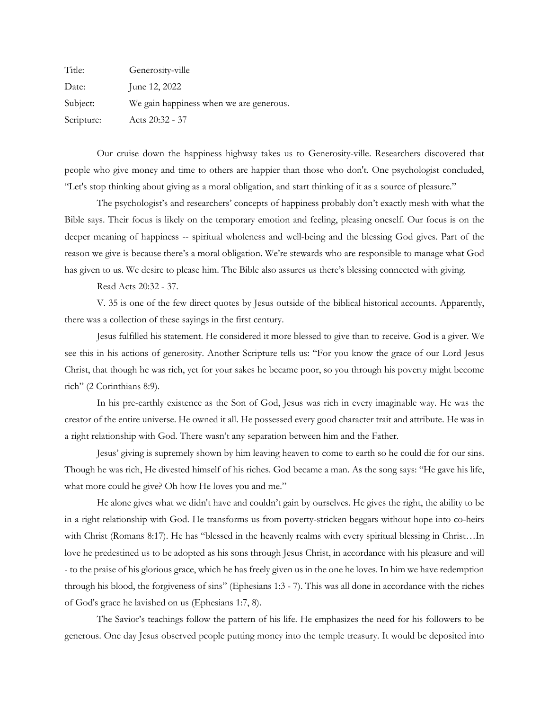| Title:     | Generosity-ville                        |
|------------|-----------------------------------------|
| Date:      | June 12, 2022                           |
| Subject:   | We gain happiness when we are generous. |
| Scripture: | Acts 20:32 - 37                         |

Our cruise down the happiness highway takes us to Generosity-ville. Researchers discovered that people who give money and time to others are happier than those who don't. One psychologist concluded, "Let's stop thinking about giving as a moral obligation, and start thinking of it as a source of pleasure."

The psychologist's and researchers' concepts of happiness probably don't exactly mesh with what the Bible says. Their focus is likely on the temporary emotion and feeling, pleasing oneself. Our focus is on the deeper meaning of happiness -- spiritual wholeness and well-being and the blessing God gives. Part of the reason we give is because there's a moral obligation. We're stewards who are responsible to manage what God has given to us. We desire to please him. The Bible also assures us there's blessing connected with giving.

Read Acts 20:32 - 37.

V. 35 is one of the few direct quotes by Jesus outside of the biblical historical accounts. Apparently, there was a collection of these sayings in the first century.

Jesus fulfilled his statement. He considered it more blessed to give than to receive. God is a giver. We see this in his actions of generosity. Another Scripture tells us: "For you know the grace of our Lord Jesus Christ, that though he was rich, yet for your sakes he became poor, so you through his poverty might become rich" (2 Corinthians 8:9).

In his pre-earthly existence as the Son of God, Jesus was rich in every imaginable way. He was the creator of the entire universe. He owned it all. He possessed every good character trait and attribute. He was in a right relationship with God. There wasn't any separation between him and the Father.

Jesus' giving is supremely shown by him leaving heaven to come to earth so he could die for our sins. Though he was rich, He divested himself of his riches. God became a man. As the song says: "He gave his life, what more could he give? Oh how He loves you and me."

He alone gives what we didn't have and couldn't gain by ourselves. He gives the right, the ability to be in a right relationship with God. He transforms us from poverty-stricken beggars without hope into co-heirs with Christ (Romans 8:17). He has "blessed in the heavenly realms with every spiritual blessing in Christ…In love he predestined us to be adopted as his sons through Jesus Christ, in accordance with his pleasure and will - to the praise of his glorious grace, which he has freely given us in the one he loves. In him we have redemption through his blood, the forgiveness of sins" (Ephesians 1:3 - 7). This was all done in accordance with the riches of God's grace he lavished on us (Ephesians 1:7, 8).

The Savior's teachings follow the pattern of his life. He emphasizes the need for his followers to be generous. One day Jesus observed people putting money into the temple treasury. It would be deposited into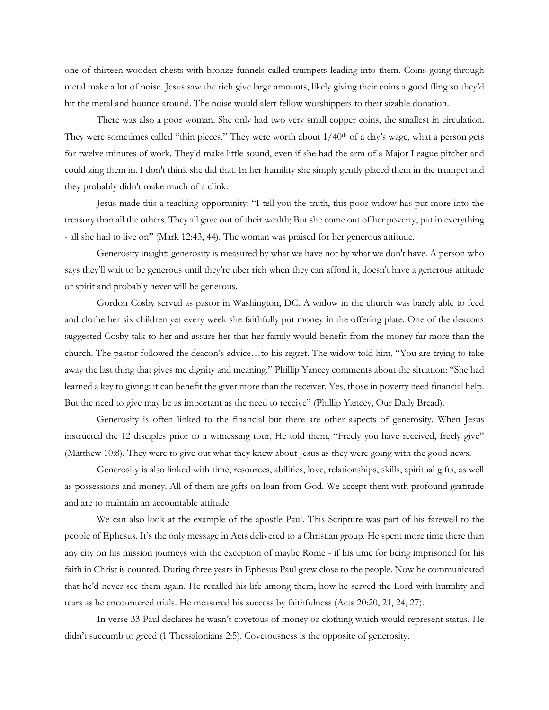one of thirteen wooden chests with bronze funnels called trumpets leading into them. Coins going through metal make a lot of noise. Jesus saw the rich give large amounts, likely giving their coins a good fling so they'd hit the metal and bounce around. The noise would alert fellow worshippers to their sizable donation.

There was also a poor woman. She only had two very small copper coins, the smallest in circulation. They were sometimes called "thin pieces." They were worth about  $1/40<sup>th</sup>$  of a day's wage, what a person gets for twelve minutes of work. They'd make little sound, even if she had the arm of a Major League pitcher and could zing them in. I don't think she did that. In her humility she simply gently placed them in the trumpet and they probably didn't make much of a clink.

Jesus made this a teaching opportunity: "I tell you the truth, this poor widow has put more into the treasury than all the others. They all gave out of their wealth; But she come out of her poverty, put in everything - all she had to live on" (Mark 12:43, 44). The woman was praised for her generous attitude.

Generosity insight: generosity is measured by what we have not by what we don't have. A person who says they'll wait to be generous until they're uber rich when they can afford it, doesn't have a generous attitude or spirit and probably never will be generous.

Gordon Cosby served as pastor in Washington, DC. A widow in the church was barely able to feed and clothe her six children yet every week she faithfully put money in the offering plate. One of the deacons suggested Cosby talk to her and assure her that her family would benefit from the money far more than the church. The pastor followed the deacon's advice…to his regret. The widow told him, "You are trying to take away the last thing that gives me dignity and meaning." Phillip Yancey comments about the situation: "She had learned a key to giving: it can benefit the giver more than the receiver. Yes, those in poverty need financial help. But the need to give may be as important as the need to receive" (Phillip Yancey, Our Daily Bread).

Generosity is often linked to the financial but there are other aspects of generosity. When Jesus instructed the 12 disciples prior to a witnessing tour, He told them, "Freely you have received, freely give" (Matthew 10:8). They were to give out what they knew about Jesus as they were going with the good news.

Generosity is also linked with time, resources, abilities, love, relationships, skills, spiritual gifts, as well as possessions and money. All of them are gifts on loan from God. We accept them with profound gratitude and are to maintain an accountable attitude.

We can also look at the example of the apostle Paul. This Scripture was part of his farewell to the people of Ephesus. It's the only message in Acts delivered to a Christian group. He spent more time there than any city on his mission journeys with the exception of maybe Rome - if his time for being imprisoned for his faith in Christ is counted. During three years in Ephesus Paul grew close to the people. Now he communicated that he'd never see them again. He recalled his life among them, how he served the Lord with humility and tears as he encountered trials. He measured his success by faithfulness (Acts 20:20, 21, 24, 27).

In verse 33 Paul declares he wasn't covetous of money or clothing which would represent status. He didn't succumb to greed (1 Thessalonians 2:5). Covetousness is the opposite of generosity.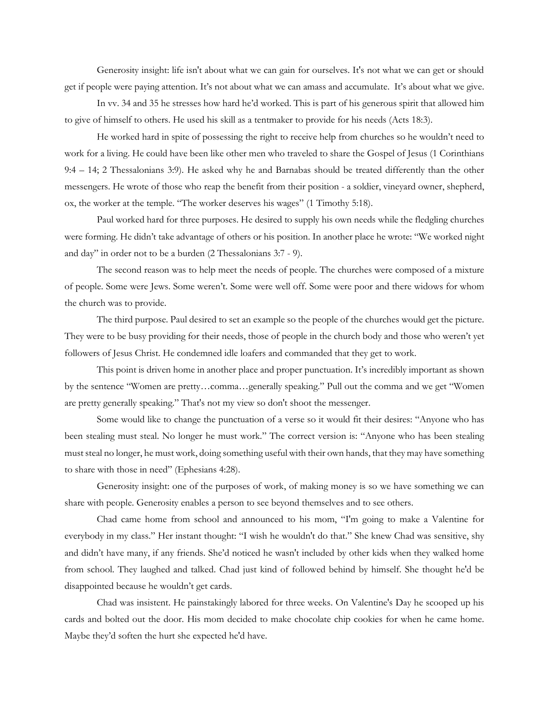Generosity insight: life isn't about what we can gain for ourselves. It's not what we can get or should get if people were paying attention. It's not about what we can amass and accumulate. It's about what we give.

In vv. 34 and 35 he stresses how hard he'd worked. This is part of his generous spirit that allowed him to give of himself to others. He used his skill as a tentmaker to provide for his needs (Acts 18:3).

He worked hard in spite of possessing the right to receive help from churches so he wouldn't need to work for a living. He could have been like other men who traveled to share the Gospel of Jesus (1 Corinthians 9:4 – 14; 2 Thessalonians 3:9). He asked why he and Barnabas should be treated differently than the other messengers. He wrote of those who reap the benefit from their position - a soldier, vineyard owner, shepherd, ox, the worker at the temple. "The worker deserves his wages" (1 Timothy 5:18).

Paul worked hard for three purposes. He desired to supply his own needs while the fledgling churches were forming. He didn't take advantage of others or his position. In another place he wrote: "We worked night and day" in order not to be a burden (2 Thessalonians 3:7 - 9).

The second reason was to help meet the needs of people. The churches were composed of a mixture of people. Some were Jews. Some weren't. Some were well off. Some were poor and there widows for whom the church was to provide.

The third purpose. Paul desired to set an example so the people of the churches would get the picture. They were to be busy providing for their needs, those of people in the church body and those who weren't yet followers of Jesus Christ. He condemned idle loafers and commanded that they get to work.

This point is driven home in another place and proper punctuation. It's incredibly important as shown by the sentence "Women are pretty…comma…generally speaking." Pull out the comma and we get "Women are pretty generally speaking." That's not my view so don't shoot the messenger.

Some would like to change the punctuation of a verse so it would fit their desires: "Anyone who has been stealing must steal. No longer he must work." The correct version is: "Anyone who has been stealing must steal no longer, he must work, doing something useful with their own hands, that they may have something to share with those in need" (Ephesians 4:28).

Generosity insight: one of the purposes of work, of making money is so we have something we can share with people. Generosity enables a person to see beyond themselves and to see others.

Chad came home from school and announced to his mom, "I'm going to make a Valentine for everybody in my class." Her instant thought: "I wish he wouldn't do that." She knew Chad was sensitive, shy and didn't have many, if any friends. She'd noticed he wasn't included by other kids when they walked home from school. They laughed and talked. Chad just kind of followed behind by himself. She thought he'd be disappointed because he wouldn't get cards.

Chad was insistent. He painstakingly labored for three weeks. On Valentine's Day he scooped up his cards and bolted out the door. His mom decided to make chocolate chip cookies for when he came home. Maybe they'd soften the hurt she expected he'd have.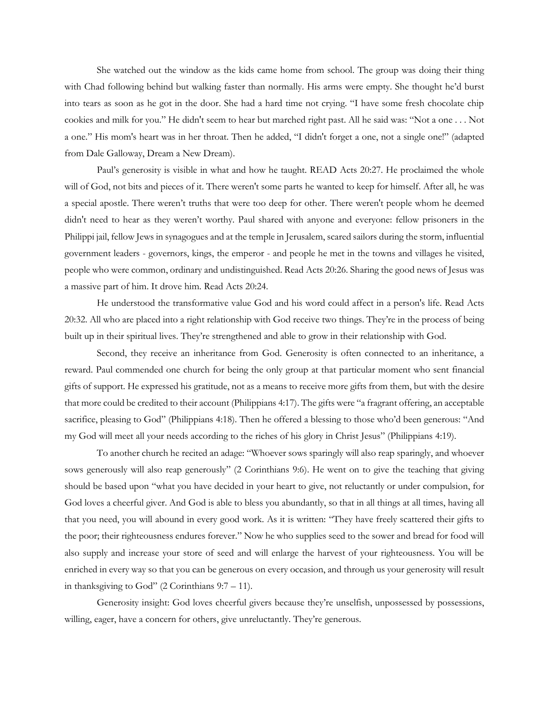She watched out the window as the kids came home from school. The group was doing their thing with Chad following behind but walking faster than normally. His arms were empty. She thought he'd burst into tears as soon as he got in the door. She had a hard time not crying. "I have some fresh chocolate chip cookies and milk for you." He didn't seem to hear but marched right past. All he said was: "Not a one . . . Not a one." His mom's heart was in her throat. Then he added, "I didn't forget a one, not a single one!" (adapted from Dale Galloway, Dream a New Dream).

Paul's generosity is visible in what and how he taught. READ Acts 20:27. He proclaimed the whole will of God, not bits and pieces of it. There weren't some parts he wanted to keep for himself. After all, he was a special apostle. There weren't truths that were too deep for other. There weren't people whom he deemed didn't need to hear as they weren't worthy. Paul shared with anyone and everyone: fellow prisoners in the Philippi jail, fellow Jews in synagogues and at the temple in Jerusalem, scared sailors during the storm, influential government leaders - governors, kings, the emperor - and people he met in the towns and villages he visited, people who were common, ordinary and undistinguished. Read Acts 20:26. Sharing the good news of Jesus was a massive part of him. It drove him. Read Acts 20:24.

He understood the transformative value God and his word could affect in a person's life. Read Acts 20:32. All who are placed into a right relationship with God receive two things. They're in the process of being built up in their spiritual lives. They're strengthened and able to grow in their relationship with God.

Second, they receive an inheritance from God. Generosity is often connected to an inheritance, a reward. Paul commended one church for being the only group at that particular moment who sent financial gifts of support. He expressed his gratitude, not as a means to receive more gifts from them, but with the desire that more could be credited to their account (Philippians 4:17). The gifts were "a fragrant offering, an acceptable sacrifice, pleasing to God" (Philippians 4:18). Then he offered a blessing to those who'd been generous: "And my God will meet all your needs according to the riches of his glory in Christ Jesus" (Philippians 4:19).

To another church he recited an adage: "Whoever sows sparingly will also reap sparingly, and whoever sows generously will also reap generously" (2 Corinthians 9:6). He went on to give the teaching that giving should be based upon "what you have decided in your heart to give, not reluctantly or under compulsion, for God loves a cheerful giver. And God is able to bless you abundantly, so that in all things at all times, having all that you need, you will abound in every good work. As it is written: "They have freely scattered their gifts to the poor; their righteousness endures forever." Now he who supplies seed to the sower and bread for food will also supply and increase your store of seed and will enlarge the harvest of your righteousness. You will be enriched in every way so that you can be generous on every occasion, and through us your generosity will result in thanksgiving to God" (2 Corinthians 9:7 – 11).

Generosity insight: God loves cheerful givers because they're unselfish, unpossessed by possessions, willing, eager, have a concern for others, give unreluctantly. They're generous.